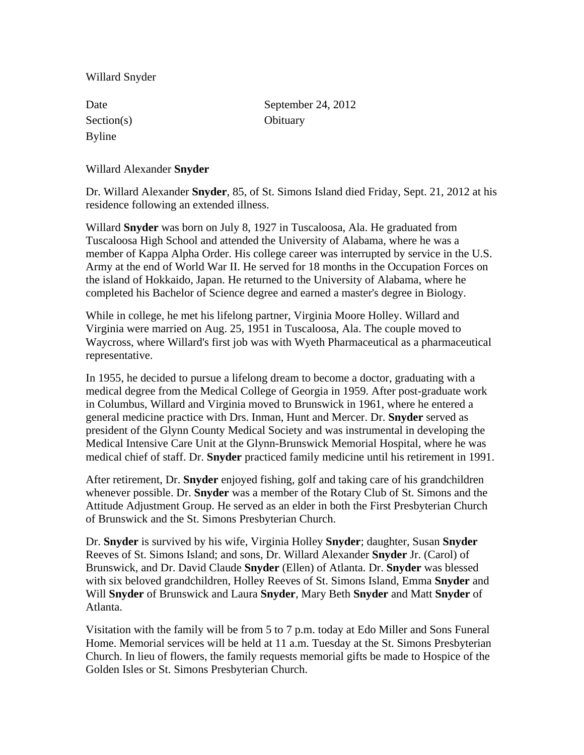Willard Snyder

Section(s) Obituary Byline

Date September 24, 2012

## Willard Alexander **Snyder**

Dr. Willard Alexander **Snyder**, 85, of St. Simons Island died Friday, Sept. 21, 2012 at his residence following an extended illness.

Willard **Snyder** was born on July 8, 1927 in Tuscaloosa, Ala. He graduated from Tuscaloosa High School and attended the University of Alabama, where he was a member of Kappa Alpha Order. His college career was interrupted by service in the U.S. Army at the end of World War II. He served for 18 months in the Occupation Forces on the island of Hokkaido, Japan. He returned to the University of Alabama, where he completed his Bachelor of Science degree and earned a master's degree in Biology.

While in college, he met his lifelong partner, Virginia Moore Holley. Willard and Virginia were married on Aug. 25, 1951 in Tuscaloosa, Ala. The couple moved to Waycross, where Willard's first job was with Wyeth Pharmaceutical as a pharmaceutical representative.

In 1955, he decided to pursue a lifelong dream to become a doctor, graduating with a medical degree from the Medical College of Georgia in 1959. After post-graduate work in Columbus, Willard and Virginia moved to Brunswick in 1961, where he entered a general medicine practice with Drs. Inman, Hunt and Mercer. Dr. **Snyder** served as president of the Glynn County Medical Society and was instrumental in developing the Medical Intensive Care Unit at the Glynn-Brunswick Memorial Hospital, where he was medical chief of staff. Dr. **Snyder** practiced family medicine until his retirement in 1991.

After retirement, Dr. **Snyder** enjoyed fishing, golf and taking care of his grandchildren whenever possible. Dr. **Snyder** was a member of the Rotary Club of St. Simons and the Attitude Adjustment Group. He served as an elder in both the First Presbyterian Church of Brunswick and the St. Simons Presbyterian Church.

Dr. **Snyder** is survived by his wife, Virginia Holley **Snyder**; daughter, Susan **Snyder** Reeves of St. Simons Island; and sons, Dr. Willard Alexander **Snyder** Jr. (Carol) of Brunswick, and Dr. David Claude **Snyder** (Ellen) of Atlanta. Dr. **Snyder** was blessed with six beloved grandchildren, Holley Reeves of St. Simons Island, Emma **Snyder** and Will **Snyder** of Brunswick and Laura **Snyder**, Mary Beth **Snyder** and Matt **Snyder** of Atlanta.

Visitation with the family will be from 5 to 7 p.m. today at Edo Miller and Sons Funeral Home. Memorial services will be held at 11 a.m. Tuesday at the St. Simons Presbyterian Church. In lieu of flowers, the family requests memorial gifts be made to Hospice of the Golden Isles or St. Simons Presbyterian Church.